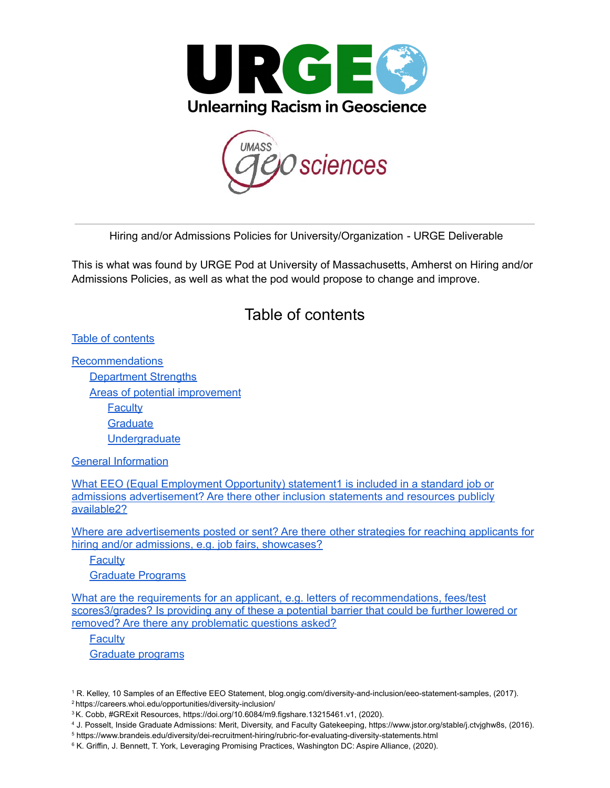



Hiring and/or Admissions Policies for University/Organization - URGE Deliverable

<span id="page-0-0"></span>This is what was found by URGE Pod at University of Massachusetts, Amherst on Hiring and/or Admissions Policies, as well as what the pod would propose to change and improve.

### Table of contents

Table of [contents](#page-0-0)

**[Recommendations](#page-1-0)** [Department](#page-1-1) Strengths Areas of potential [improvement](#page-1-2) **[Faculty](#page-1-3) [Graduate](#page-2-0) [Undergraduate](#page-3-0)** 

General [Information](#page-3-1)

What EEO (Equal [Employment](#page-4-0) Opportunity) statement1 is included in a standard job or admissions [advertisement?](#page-4-0) Are there other inclusion statements and resources publicly [available2?](#page-4-0)

Where are [advertisements](#page-5-0) posted or sent? Are there other strategies for reaching applicants for hiring and/or admissions, e.g. job fairs, [showcases?](#page-5-0)

**[Faculty](#page-5-1)** Graduate [Programs](#page-5-2)

What are the requirements for an applicant, e.g. letters of [recommendations,](#page-6-0) fees/test [scores3/grades?](#page-6-0) Is providing any of these a potential barrier that could be further lowered or removed? Are there any [problematic](#page-6-0) questions asked?

**[Faculty](#page-6-1)** Graduate [programs](#page-6-2)

<sup>1</sup> R. Kelley, 10 Samples of an Effective EEO Statement, blog.ongig.com/diversity-and-inclusion/eeo-statement-samples, (2017). <sup>2</sup> https://careers.whoi.edu/opportunities/diversity-inclusion/

<sup>3</sup>K. Cobb, #GRExit Resources, https://doi.org/10.6084/m9.figshare.13215461.v1, (2020).

<sup>4</sup> J. Posselt, Inside Graduate Admissions: Merit, Diversity, and Faculty Gatekeeping, https://www.jstor.org/stable/j.ctvjghw8s, (2016).

<sup>5</sup> https://www.brandeis.edu/diversity/dei-recruitment-hiring/rubric-for-evaluating-diversity-statements.html

<sup>&</sup>lt;sup>6</sup> K. Griffin, J. Bennett, T. York, Leveraging Promising Practices, Washington DC: Aspire Alliance, (2020).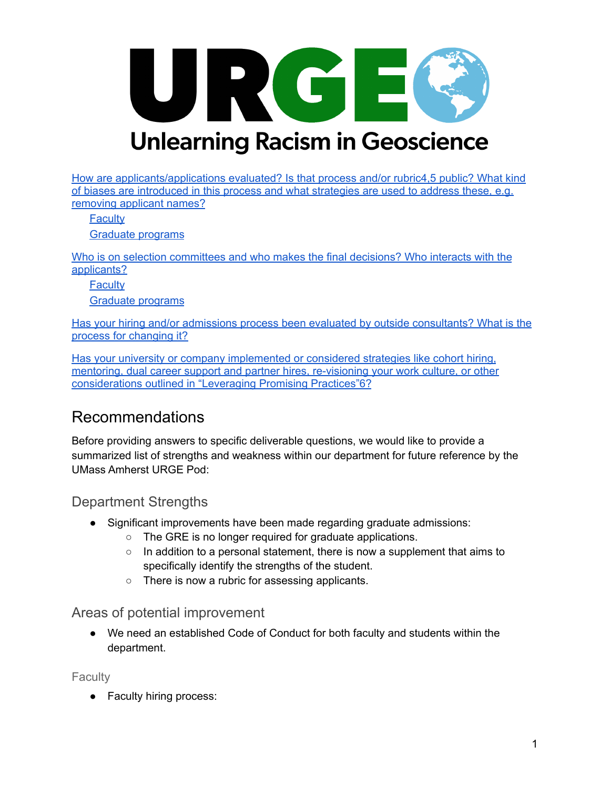

How are [applicants/applications](#page-8-0) evaluated? Is that process and/or rubric4,5 public? What kind of biases are [introduced](#page-8-0) in this process and what strategies are used to address these, e.g. [removing](#page-8-0) applicant names?

**[Faculty](#page-8-1)** 

Graduate [programs](#page-9-0)

Who is on selection [committees](#page-10-0) and who makes the final decisions? Who interacts with the [applicants?](#page-10-0)

**[Faculty](#page-10-1)** 

Graduate [programs](#page-10-2)

Has your hiring and/or admissions process been evaluated by outside [consultants?](#page-11-0) What is the process for [changing](#page-11-0) it?

Has your university or company [implemented](#page-12-0) or considered strategies like cohort hiring, mentoring, dual career support and partner hires, [re-visioning](#page-12-0) your work culture, or other [considerations](#page-12-0) outlined in "Leveraging Promising Practices"6?

### <span id="page-1-0"></span>Recommendations

Before providing answers to specific deliverable questions, we would like to provide a summarized list of strengths and weakness within our department for future reference by the UMass Amherst URGE Pod:

#### <span id="page-1-1"></span>Department Strengths

- Significant improvements have been made regarding graduate admissions:
	- The GRE is no longer required for graduate applications.
	- $\circ$  In addition to a personal statement, there is now a supplement that aims to specifically identify the strengths of the student.
	- There is now a rubric for assessing applicants.

#### <span id="page-1-2"></span>Areas of potential improvement

● We need an established Code of Conduct for both faculty and students within the department.

<span id="page-1-3"></span>**Faculty** 

• Faculty hiring process: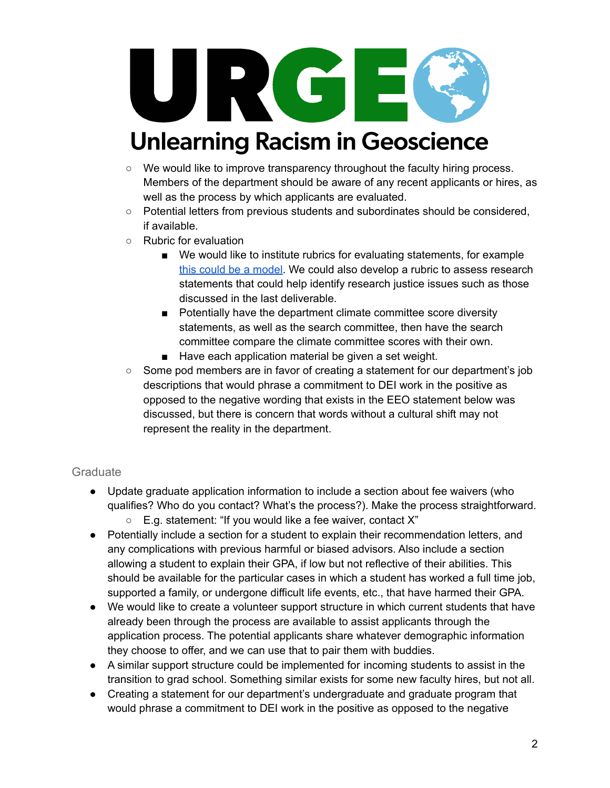

- $\circ$  We would like to improve transparency throughout the faculty hiring process. Members of the department should be aware of any recent applicants or hires, as well as the process by which applicants are evaluated.
- Potential letters from previous students and subordinates should be considered, if available.
- Rubric for evaluation
	- W[e](https://ofew.berkeley.edu/recruitment/contributions-diversity/rubric-assessing-candidate-contributions-diversity-equity-and) would like to institute rubrics for evaluating statements, for example this could be a [model.](https://ofew.berkeley.edu/recruitment/contributions-diversity/rubric-assessing-candidate-contributions-diversity-equity-and) We could also develop a rubric to assess research statements that could help identify research justice issues such as those discussed in the last deliverable.
	- Potentially have the department climate committee score diversity statements, as well as the search committee, then have the search committee compare the climate committee scores with their own.
	- Have each application material be given a set weight.
- Some pod members are in favor of creating a statement for our department's job descriptions that would phrase a commitment to DEI work in the positive as opposed to the negative wording that exists in the EEO statement below was discussed, but there is concern that words without a cultural shift may not represent the reality in the department.

#### <span id="page-2-0"></span>**Graduate**

- Update graduate application information to include a section about fee waivers (who qualifies? Who do you contact? What's the process?). Make the process straightforward.
	- $\circ$  E.g. statement: "If you would like a fee waiver, contact X"
- Potentially include a section for a student to explain their recommendation letters, and any complications with previous harmful or biased advisors. Also include a section allowing a student to explain their GPA, if low but not reflective of their abilities. This should be available for the particular cases in which a student has worked a full time job, supported a family, or undergone difficult life events, etc., that have harmed their GPA.
- We would like to create a volunteer support structure in which current students that have already been through the process are available to assist applicants through the application process. The potential applicants share whatever demographic information they choose to offer, and we can use that to pair them with buddies.
- A similar support structure could be implemented for incoming students to assist in the transition to grad school. Something similar exists for some new faculty hires, but not all.
- Creating a statement for our department's undergraduate and graduate program that would phrase a commitment to DEI work in the positive as opposed to the negative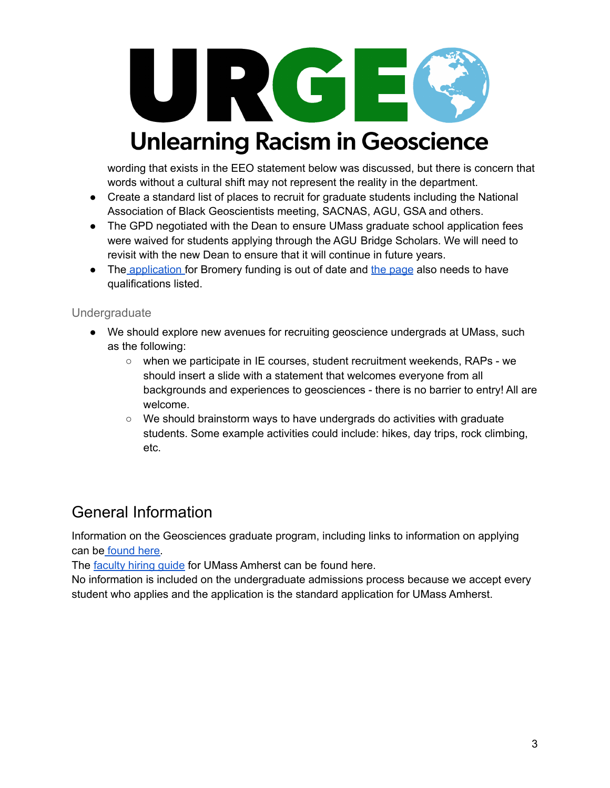

wording that exists in the EEO statement below was discussed, but there is concern that words without a cultural shift may not represent the reality in the department.

- Create a standard list of places to recruit for graduate students including the National Association of Black Geoscientists meeting, SACNAS, AGU, GSA and others.
- The GPD negotiated with the Dean to ensure UMass graduate school application fees were waived for students applying through the AGU Bridge Scholars. We will need to revisit with the new Dean to ensure that it will continue in future years.
- The [application](https://www.geo.umass.edu/sites/default/files/Application_Bromery_Fellowship.pdf) for Bromery funding is out of date and the [page](https://www.geo.umass.edu/about/bromery) also needs to have qualifications listed.

#### <span id="page-3-0"></span>Undergraduate

- We should explore new avenues for recruiting geoscience undergrads at UMass, such as the following:
	- when we participate in IE courses, student recruitment weekends, RAPs we should insert a slide with a statement that welcomes everyone from all backgrounds and experiences to geosciences - there is no barrier to entry! All are welcome.
	- We should brainstorm ways to have undergrads do activities with graduate students. Some example activities could include: hikes, day trips, rock climbing, etc.

### <span id="page-3-1"></span>General Information

Information on the Geosciences graduate program, including links to information on applying can be [found](http://www.geo.umass.edu/programs/graduate) here.

The [faculty](https://www.umass.edu/provost/resources/all-resources/academic-personnel/faculty-hiring/faculty-search-activities-guide#ui-id-51) hiring guide for UMass Amherst can be found here.

No information is included on the undergraduate admissions process because we accept every student who applies and the application is the standard application for UMass Amherst.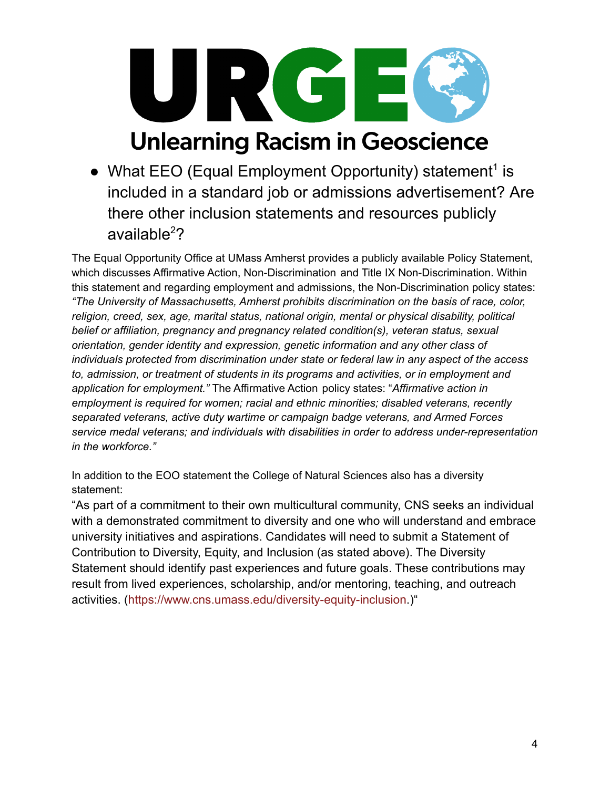

• What EEO (Equal Employment Opportunity) statement<sup>1</sup> is included in a standard job or admissions advertisement? Are there other inclusion statements and resources publicly available <sup>2</sup>?

<span id="page-4-0"></span>The Equal Opportunity Office at UMass Amherst provides a publicly available Policy Statement, which discusses Affirmative Action, Non-Discrimination and Title IX Non-Discrimination. Within this statement and regarding employment and admissions, the Non-Discrimination policy states: *"The University of Massachusetts, Amherst prohibits discrimination on the basis of race, color, religion, creed, sex, age, marital status, national origin, mental or physical disability, political belief or affiliation, pregnancy and pregnancy related condition(s), veteran status, sexual orientation, gender identity and expression, genetic information and any other class of individuals protected from discrimination under state or federal law in any aspect of the access to, admission, or treatment of students in its programs and activities, or in employment and application for employment."* The Affirmative Action policy states: "*Affirmative action in employment is required for women; racial and ethnic minorities; disabled veterans, recently separated veterans, active duty wartime or campaign badge veterans, and Armed Forces service medal veterans; and individuals with disabilities in order to address under-representation in the workforce."*

In addition to the EOO statement the College of Natural Sciences also has a diversity statement:

"As part of a commitment to their own multicultural community, CNS seeks an individual with a demonstrated commitment to diversity and one who will understand and embrace university initiatives and aspirations. Candidates will need to submit a Statement of Contribution to Diversity, Equity, and Inclusion (as stated above). The Diversity Statement should identify past experiences and future goals. These contributions may result from lived experiences, scholarship, and/or mentoring, teaching, and outreach activities. (<https://www.cns.umass.edu/diversity-equity-inclusion>.)"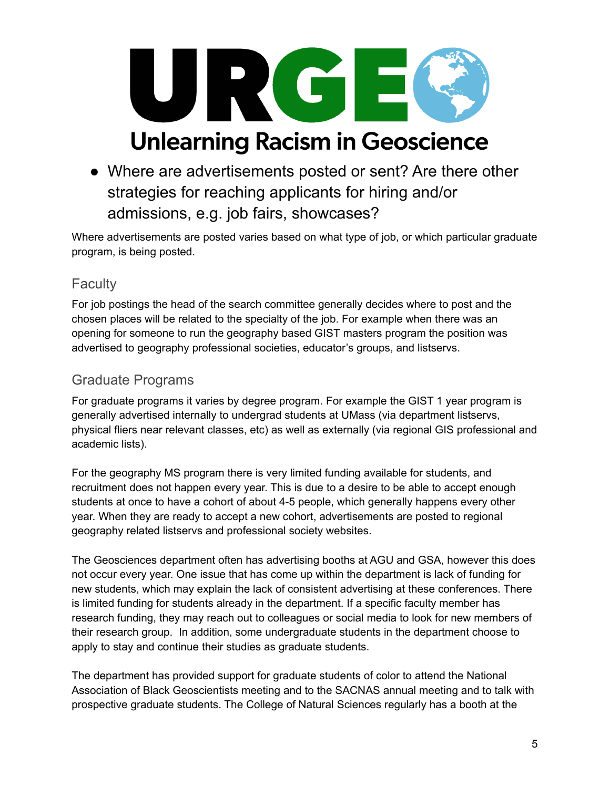

● Where are advertisements posted or sent? Are there other strategies for reaching applicants for hiring and/or admissions, e.g. job fairs, showcases?

<span id="page-5-0"></span>Where advertisements are posted varies based on what type of job, or which particular graduate program, is being posted.

#### <span id="page-5-1"></span>**Faculty**

For job postings the head of the search committee generally decides where to post and the chosen places will be related to the specialty of the job. For example when there was an opening for someone to run the geography based GIST masters program the position was advertised to geography professional societies, educator's groups, and listservs.

#### <span id="page-5-2"></span>Graduate Programs

For graduate programs it varies by degree program. For example the GIST 1 year program is generally advertised internally to undergrad students at UMass (via department listservs, physical fliers near relevant classes, etc) as well as externally (via regional GIS professional and academic lists).

For the geography MS program there is very limited funding available for students, and recruitment does not happen every year. This is due to a desire to be able to accept enough students at once to have a cohort of about 4-5 people, which generally happens every other year. When they are ready to accept a new cohort, advertisements are posted to regional geography related listservs and professional society websites.

The Geosciences department often has advertising booths at AGU and GSA, however this does not occur every year. One issue that has come up within the department is lack of funding for new students, which may explain the lack of consistent advertising at these conferences. There is limited funding for students already in the department. If a specific faculty member has research funding, they may reach out to colleagues or social media to look for new members of their research group. In addition, some undergraduate students in the department choose to apply to stay and continue their studies as graduate students.

The department has provided support for graduate students of color to attend the National Association of Black Geoscientists meeting and to the SACNAS annual meeting and to talk with prospective graduate students. The College of Natural Sciences regularly has a booth at the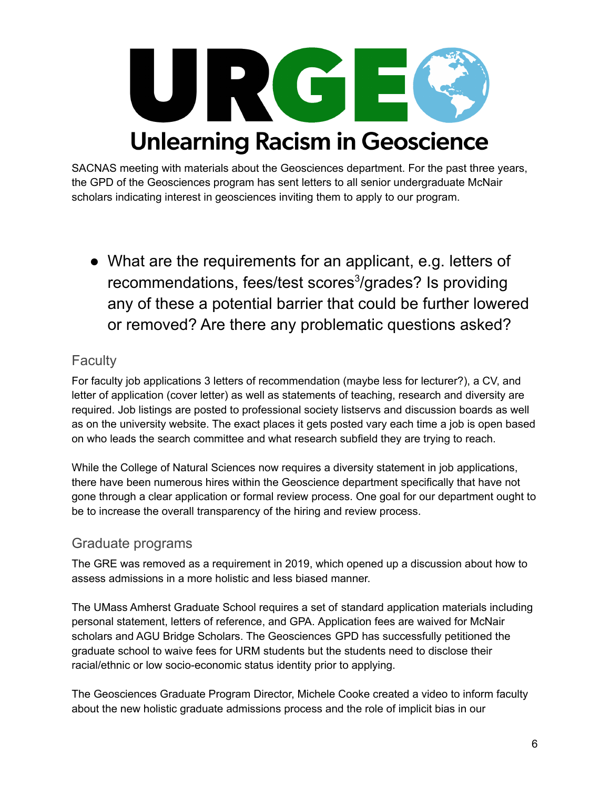

SACNAS meeting with materials about the Geosciences department. For the past three years, the GPD of the Geosciences program has sent letters to all senior undergraduate McNair scholars indicating interest in geosciences inviting them to apply to our program.

• What are the requirements for an applicant, e.g. letters of recommendations, fees/test scores 3 /grades? Is providing any of these a potential barrier that could be further lowered or removed? Are there any problematic questions asked?

#### <span id="page-6-1"></span><span id="page-6-0"></span>**Faculty**

For faculty job applications 3 letters of recommendation (maybe less for lecturer?), a CV, and letter of application (cover letter) as well as statements of teaching, research and diversity are required. Job listings are posted to professional society listservs and discussion boards as well as on the university website. The exact places it gets posted vary each time a job is open based on who leads the search committee and what research subfield they are trying to reach.

While the College of Natural Sciences now requires a diversity statement in job applications, there have been numerous hires within the Geoscience department specifically that have not gone through a clear application or formal review process. One goal for our department ought to be to increase the overall transparency of the hiring and review process.

#### <span id="page-6-2"></span>Graduate programs

The GRE was removed as a requirement in 2019, which opened up a discussion about how to assess admissions in a more holistic and less biased manner.

The UMass Amherst Graduate School requires a set of standard application materials including personal statement, letters of reference, and GPA. Application fees are waived for McNair scholars and AGU Bridge Scholars. The Geosciences GPD has successfully petitioned the graduate school to waive fees for URM students but the students need to disclose their racial/ethnic or low socio-economic status identity prior to applying.

The Geosciences Graduate Program Director, Michele Cooke created a video to inform faculty about the new holistic graduate admissions process and the role of implicit bias in our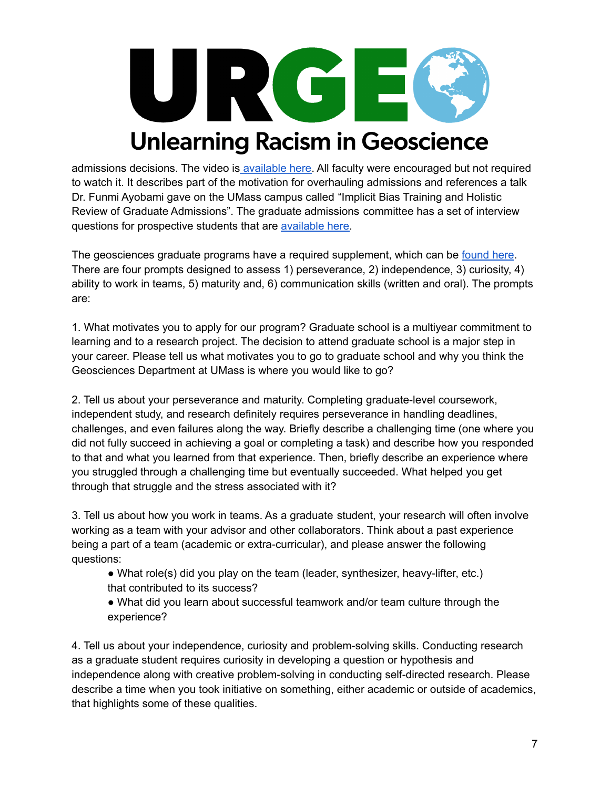

admissions decisions. The video is [available](https://drive.google.com/file/d/1qv-PrGviiRJfQU0zaLuEZ5y9HNjAcSEz/view) here. All faculty were encouraged but not required to watch it. It describes part of the motivation for overhauling admissions and references a talk Dr. Funmi Ayobami gave on the UMass campus called "Implicit Bias Training and Holistic Review of Graduate Admissions". The graduate admissions committee has a set of interview questions for prospective students that are [available](https://docs.google.com/document/d/1cqQQfgkzyDUIhRvNUlSGFQDW9mKRN_Wl7F66TwarQnk/edit) here.

The geosciences graduate programs have a required supplement, which can be [found](https://docs.google.com/forms/d/e/1FAIpQLSd2dYWC1joW7IsqzwlVL99IhtbBGSSHraY0yuuYQU74BHgucA/viewform) here. There are four prompts designed to assess 1) perseverance, 2) independence, 3) curiosity, 4) ability to work in teams, 5) maturity and, 6) communication skills (written and oral). The prompts are:

1. What motivates you to apply for our program? Graduate school is a multiyear commitment to learning and to a research project. The decision to attend graduate school is a major step in your career. Please tell us what motivates you to go to graduate school and why you think the Geosciences Department at UMass is where you would like to go?

2. Tell us about your perseverance and maturity. Completing graduate-level coursework, independent study, and research definitely requires perseverance in handling deadlines, challenges, and even failures along the way. Briefly describe a challenging time (one where you did not fully succeed in achieving a goal or completing a task) and describe how you responded to that and what you learned from that experience. Then, briefly describe an experience where you struggled through a challenging time but eventually succeeded. What helped you get through that struggle and the stress associated with it?

3. Tell us about how you work in teams. As a graduate student, your research will often involve working as a team with your advisor and other collaborators. Think about a past experience being a part of a team (academic or extra-curricular), and please answer the following questions:

- What role(s) did you play on the team (leader, synthesizer, heavy-lifter, etc.) that contributed to its success?
- What did you learn about successful teamwork and/or team culture through the experience?

4. Tell us about your independence, curiosity and problem-solving skills. Conducting research as a graduate student requires curiosity in developing a question or hypothesis and independence along with creative problem-solving in conducting self-directed research. Please describe a time when you took initiative on something, either academic or outside of academics, that highlights some of these qualities.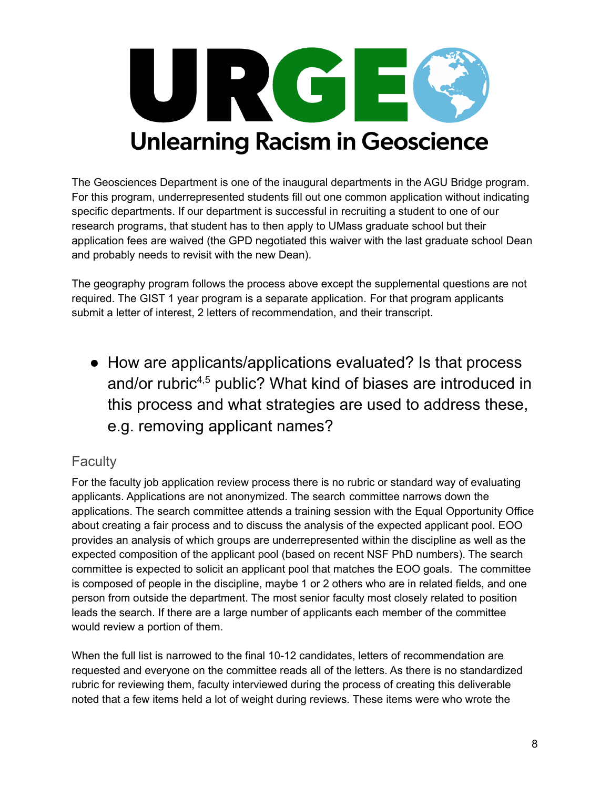

The Geosciences Department is one of the inaugural departments in the AGU Bridge program. For this program, underrepresented students fill out one common application without indicating specific departments. If our department is successful in recruiting a student to one of our research programs, that student has to then apply to UMass graduate school but their application fees are waived (the GPD negotiated this waiver with the last graduate school Dean and probably needs to revisit with the new Dean).

The geography program follows the process above except the supplemental questions are not required. The GIST 1 year program is a separate application. For that program applicants submit a letter of interest, 2 letters of recommendation, and their transcript.

• How are applicants/applications evaluated? Is that process and/or rubric<sup>4,5</sup> public? What kind of biases are introduced in this process and what strategies are used to address these, e.g. removing applicant names?

#### <span id="page-8-1"></span><span id="page-8-0"></span>**Faculty**

For the faculty job application review process there is no rubric or standard way of evaluating applicants. Applications are not anonymized. The search committee narrows down the applications. The search committee attends a training session with the Equal Opportunity Office about creating a fair process and to discuss the analysis of the expected applicant pool. EOO provides an analysis of which groups are underrepresented within the discipline as well as the expected composition of the applicant pool (based on recent NSF PhD numbers). The search committee is expected to solicit an applicant pool that matches the EOO goals. The committee is composed of people in the discipline, maybe 1 or 2 others who are in related fields, and one person from outside the department. The most senior faculty most closely related to position leads the search. If there are a large number of applicants each member of the committee would review a portion of them.

When the full list is narrowed to the final 10-12 candidates, letters of recommendation are requested and everyone on the committee reads all of the letters. As there is no standardized rubric for reviewing them, faculty interviewed during the process of creating this deliverable noted that a few items held a lot of weight during reviews. These items were who wrote the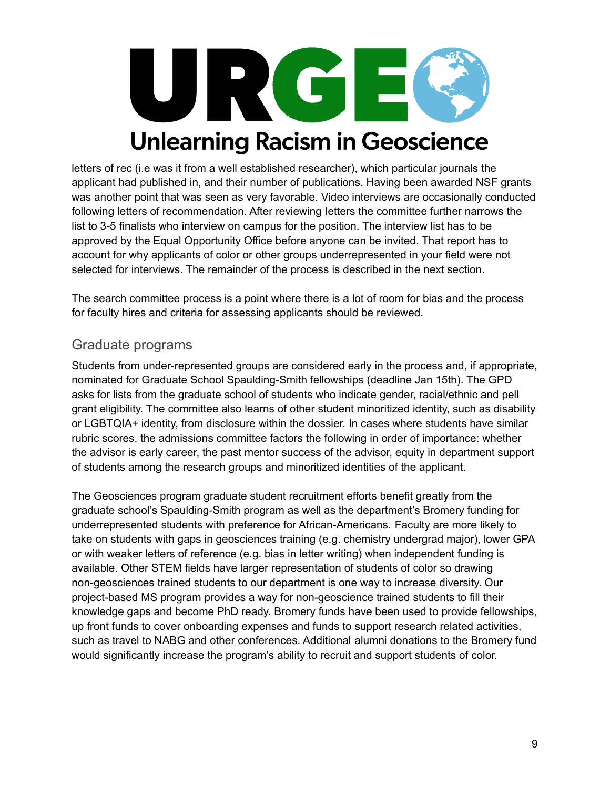

letters of rec (i.e was it from a well established researcher), which particular journals the applicant had published in, and their number of publications. Having been awarded NSF grants was another point that was seen as very favorable. Video interviews are occasionally conducted following letters of recommendation. After reviewing letters the committee further narrows the list to 3-5 finalists who interview on campus for the position. The interview list has to be approved by the Equal Opportunity Office before anyone can be invited. That report has to account for why applicants of color or other groups underrepresented in your field were not selected for interviews. The remainder of the process is described in the next section.

The search committee process is a point where there is a lot of room for bias and the process for faculty hires and criteria for assessing applicants should be reviewed.

#### <span id="page-9-0"></span>Graduate programs

Students from under-represented groups are considered early in the process and, if appropriate, nominated for Graduate School Spaulding-Smith fellowships (deadline Jan 15th). The GPD asks for lists from the graduate school of students who indicate gender, racial/ethnic and pell grant eligibility. The committee also learns of other student minoritized identity, such as disability or LGBTQIA+ identity, from disclosure within the dossier. In cases where students have similar rubric scores, the admissions committee factors the following in order of importance: whether the advisor is early career, the past mentor success of the advisor, equity in department support of students among the research groups and minoritized identities of the applicant.

The Geosciences program graduate student recruitment efforts benefit greatly from the graduate school's Spaulding-Smith program as well as the department's Bromery funding for underrepresented students with preference for African-Americans. Faculty are more likely to take on students with gaps in geosciences training (e.g. chemistry undergrad major), lower GPA or with weaker letters of reference (e.g. bias in letter writing) when independent funding is available. Other STEM fields have larger representation of students of color so drawing non-geosciences trained students to our department is one way to increase diversity. Our project-based MS program provides a way for non-geoscience trained students to fill their knowledge gaps and become PhD ready. Bromery funds have been used to provide fellowships, up front funds to cover onboarding expenses and funds to support research related activities, such as travel to NABG and other conferences. Additional alumni donations to the Bromery fund would significantly increase the program's ability to recruit and support students of color.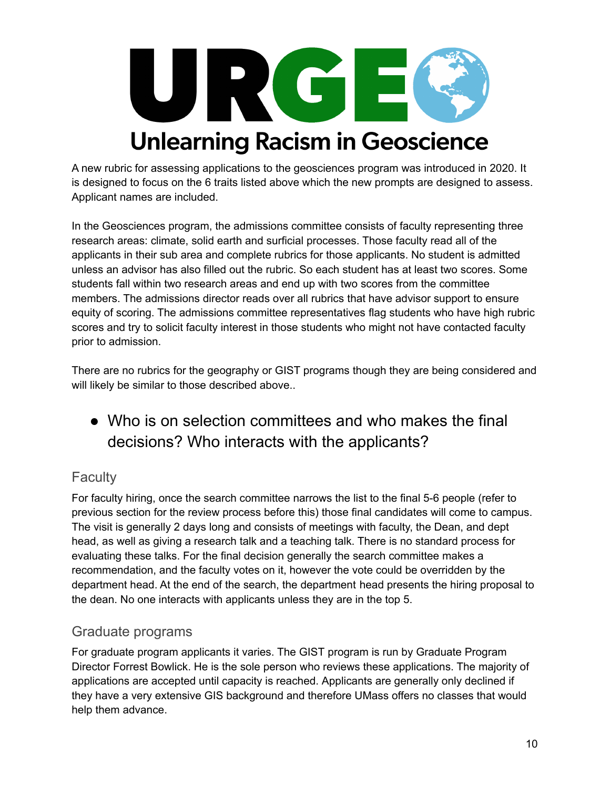

A new rubric for assessing applications to the geosciences program was introduced in 2020. It is designed to focus on the 6 traits listed above which the new prompts are designed to assess. Applicant names are included.

In the Geosciences program, the admissions committee consists of faculty representing three research areas: climate, solid earth and surficial processes. Those faculty read all of the applicants in their sub area and complete rubrics for those applicants. No student is admitted unless an advisor has also filled out the rubric. So each student has at least two scores. Some students fall within two research areas and end up with two scores from the committee members. The admissions director reads over all rubrics that have advisor support to ensure equity of scoring. The admissions committee representatives flag students who have high rubric scores and try to solicit faculty interest in those students who might not have contacted faculty prior to admission.

There are no rubrics for the geography or GIST programs though they are being considered and will likely be similar to those described above..

### <span id="page-10-0"></span>● Who is on selection committees and who makes the final decisions? Who interacts with the applicants?

#### <span id="page-10-1"></span>**Faculty**

For faculty hiring, once the search committee narrows the list to the final 5-6 people (refer to previous section for the review process before this) those final candidates will come to campus. The visit is generally 2 days long and consists of meetings with faculty, the Dean, and dept head, as well as giving a research talk and a teaching talk. There is no standard process for evaluating these talks. For the final decision generally the search committee makes a recommendation, and the faculty votes on it, however the vote could be overridden by the department head. At the end of the search, the department head presents the hiring proposal to the dean. No one interacts with applicants unless they are in the top 5.

#### <span id="page-10-2"></span>Graduate programs

For graduate program applicants it varies. The GIST program is run by Graduate Program Director Forrest Bowlick. He is the sole person who reviews these applications. The majority of applications are accepted until capacity is reached. Applicants are generally only declined if they have a very extensive GIS background and therefore UMass offers no classes that would help them advance.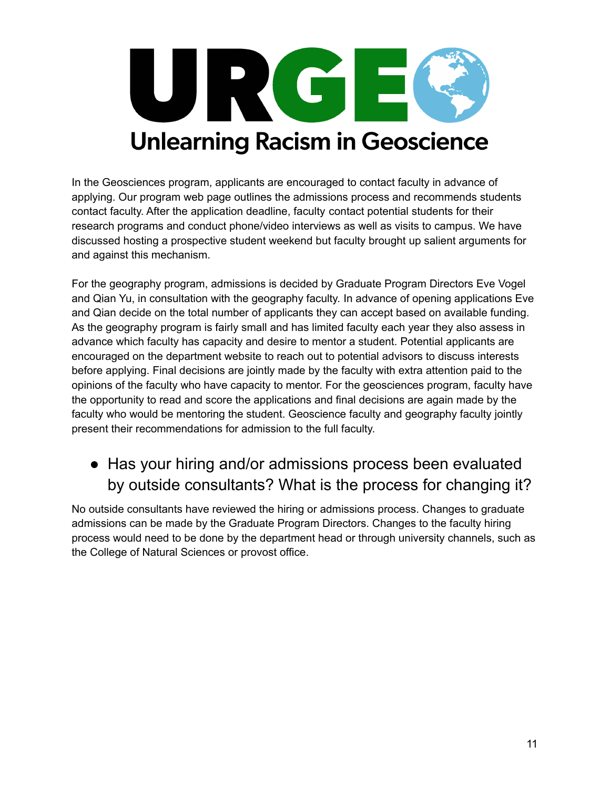

In the Geosciences program, applicants are encouraged to contact faculty in advance of applying. Our program web page outlines the admissions process and recommends students contact faculty. After the application deadline, faculty contact potential students for their research programs and conduct phone/video interviews as well as visits to campus. We have discussed hosting a prospective student weekend but faculty brought up salient arguments for and against this mechanism.

For the geography program, admissions is decided by Graduate Program Directors Eve Vogel and Qian Yu, in consultation with the geography faculty. In advance of opening applications Eve and Qian decide on the total number of applicants they can accept based on available funding. As the geography program is fairly small and has limited faculty each year they also assess in advance which faculty has capacity and desire to mentor a student. Potential applicants are encouraged on the department website to reach out to potential advisors to discuss interests before applying. Final decisions are jointly made by the faculty with extra attention paid to the opinions of the faculty who have capacity to mentor. For the geosciences program, faculty have the opportunity to read and score the applications and final decisions are again made by the faculty who would be mentoring the student. Geoscience faculty and geography faculty jointly present their recommendations for admission to the full faculty.

### • Has your hiring and/or admissions process been evaluated by outside consultants? What is the process for changing it?

<span id="page-11-0"></span>No outside consultants have reviewed the hiring or admissions process. Changes to graduate admissions can be made by the Graduate Program Directors. Changes to the faculty hiring process would need to be done by the department head or through university channels, such as the College of Natural Sciences or provost office.